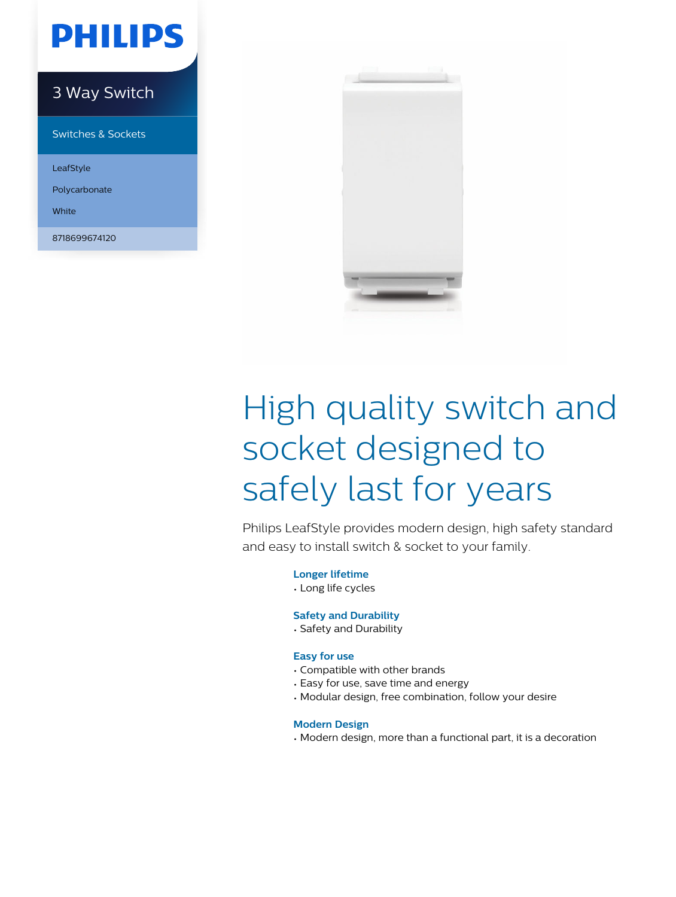# **PHILIPS**

### 3 Way Switch

Switches & Sockets

LeafStyle

Polycarbonate

White

8718699674120



# High quality switch and socket designed to safely last for years

Philips LeafStyle provides modern design, high safety standard and easy to install switch & socket to your family.

**Longer lifetime**

• Long life cycles

### **Safety and Durability**

• Safety and Durability

### **Easy for use**

- Compatible with other brands
- Easy for use, save time and energy
- Modular design, free combination, follow your desire

### **Modern Design**

• Modern design, more than a functional part, it is a decoration